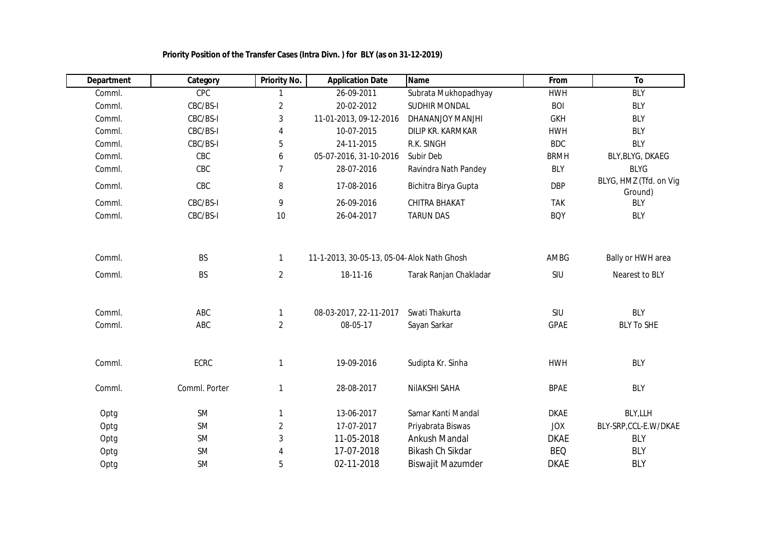| <b>Department</b> | Category               | <b>Priority No.</b>            | <b>Application Date</b>                                 | <b>Name</b>            | From        | To                                  |
|-------------------|------------------------|--------------------------------|---------------------------------------------------------|------------------------|-------------|-------------------------------------|
| Comml.            | CPC                    |                                | 26-09-2011                                              | Subrata Mukhopadhyay   | <b>HWH</b>  | <b>BLY</b>                          |
| Comml.            | CBC/BS-I               | $\overline{2}$                 | 20-02-2012                                              | SUDHIR MONDAL          | <b>BOI</b>  | <b>BLY</b>                          |
| Comml.            | CBC/BS-I               | 3                              | 11-01-2013, 09-12-2016                                  | DHANANJOY MANJHI       | <b>GKH</b>  | <b>BLY</b>                          |
| Comml.            | CBC/BS-I               | 4                              | 10-07-2015                                              | DILIP KR. KARMKAR      | <b>HWH</b>  | <b>BLY</b>                          |
| Comml.            | CBC/BS-I               | 5                              | 24-11-2015                                              | R.K. SINGH             | <b>BDC</b>  | <b>BLY</b>                          |
| Comml.            | CBC                    | 6                              | 05-07-2016, 31-10-2016                                  | Subir Deb              | <b>BRMH</b> | BLY, BLYG, DKAEG                    |
| Comml.            | CBC                    | $\overline{7}$                 | 28-07-2016                                              | Ravindra Nath Pandey   | <b>BLY</b>  | <b>BLYG</b>                         |
| Comml.            | CBC                    | 8                              | 17-08-2016                                              | Bichitra Birya Gupta   | <b>DBP</b>  | BLYG, HMZ (Tfd. on Vig<br>Ground)   |
| Comml.            | CBC/BS-I               | 9                              | 26-09-2016                                              | CHITRA BHAKAT          | <b>TAK</b>  | <b>BLY</b>                          |
| Comml.            | CBC/BS-I               | 10                             | 26-04-2017                                              | <b>TARUN DAS</b>       | <b>BOY</b>  | <b>BLY</b>                          |
| Comml.<br>Comml.  | <b>BS</b><br><b>BS</b> | $\mathbf{1}$<br>$\overline{2}$ | 11-1-2013, 30-05-13, 05-04- Alok Nath Ghosh<br>18-11-16 | Tarak Ranjan Chakladar | AMBG<br>SIU | Bally or HWH area<br>Nearest to BLY |
| Comml.            | ABC                    |                                | 08-03-2017, 22-11-2017                                  | Swati Thakurta         | SIU         | <b>BLY</b>                          |
| Comml.            | ABC                    | $\overline{2}$                 | 08-05-17                                                | Sayan Sarkar           | <b>GPAE</b> | <b>BLY To SHE</b>                   |
| Comml.            | <b>ECRC</b>            | 1                              | 19-09-2016                                              | Sudipta Kr. Sinha      | <b>HWH</b>  | <b>BLY</b>                          |
| Comml.            | Comml. Porter          | 1                              | 28-08-2017                                              | NIIAKSHI SAHA          | <b>BPAE</b> | <b>BLY</b>                          |
| Optg              | <b>SM</b>              | 1                              | 13-06-2017                                              | Samar Kanti Mandal     | <b>DKAE</b> | BLY, LLH                            |
| Optg              | <b>SM</b>              | $\overline{2}$                 | 17-07-2017                                              | Priyabrata Biswas      | <b>JOX</b>  | BLY-SRP, CCL-E.W/DKAE               |
| Optg              | <b>SM</b>              | 3                              | 11-05-2018                                              | <b>Ankush Mandal</b>   | <b>DKAE</b> | <b>BLY</b>                          |
| Optg              | <b>SM</b>              | 4                              | 17-07-2018                                              | Bikash Ch Sikdar       | <b>BEQ</b>  | <b>BLY</b>                          |
| Optg              | <b>SM</b>              | 5                              | 02-11-2018                                              | Biswajit Mazumder      | <b>DKAE</b> | <b>BLY</b>                          |

 **Priority Position of the Transfer Cases (Intra Divn. ) for BLY (as on 31-12-2019)**